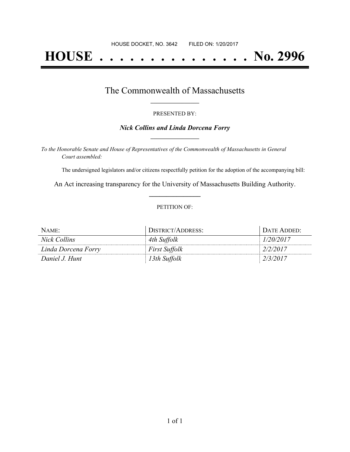# **HOUSE . . . . . . . . . . . . . . . No. 2996**

### The Commonwealth of Massachusetts **\_\_\_\_\_\_\_\_\_\_\_\_\_\_\_\_\_**

#### PRESENTED BY:

#### *Nick Collins and Linda Dorcena Forry* **\_\_\_\_\_\_\_\_\_\_\_\_\_\_\_\_\_**

*To the Honorable Senate and House of Representatives of the Commonwealth of Massachusetts in General Court assembled:*

The undersigned legislators and/or citizens respectfully petition for the adoption of the accompanying bill:

An Act increasing transparency for the University of Massachusetts Building Authority. **\_\_\_\_\_\_\_\_\_\_\_\_\_\_\_**

#### PETITION OF:

| NAME:               | DISTRICT/ADDRESS:    | DATE ADDED: |
|---------------------|----------------------|-------------|
| Nick Collins        | 4th Suffolk          | 1/20/2017   |
| Linda Dorcena Forry | <b>First Suffolk</b> | 2/2/2017    |
| Daniel J. Hunt      | 13th Suffolk         | 2/3/2017    |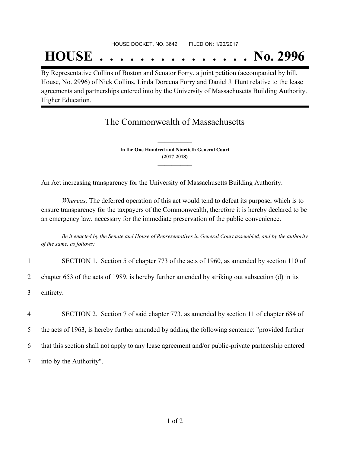#### HOUSE DOCKET, NO. 3642 FILED ON: 1/20/2017

## **HOUSE . . . . . . . . . . . . . . . No. 2996**

By Representative Collins of Boston and Senator Forry, a joint petition (accompanied by bill, House, No. 2996) of Nick Collins, Linda Dorcena Forry and Daniel J. Hunt relative to the lease agreements and partnerships entered into by the University of Massachusetts Building Authority. Higher Education.

## The Commonwealth of Massachusetts

**In the One Hundred and Ninetieth General Court (2017-2018) \_\_\_\_\_\_\_\_\_\_\_\_\_\_\_**

**\_\_\_\_\_\_\_\_\_\_\_\_\_\_\_**

An Act increasing transparency for the University of Massachusetts Building Authority.

*Whereas,* The deferred operation of this act would tend to defeat its purpose, which is to ensure transparency for the taxpayers of the Commonwealth, therefore it is hereby declared to be an emergency law, necessary for the immediate preservation of the public convenience.

Be it enacted by the Senate and House of Representatives in General Court assembled, and by the authority *of the same, as follows:*

| SECTION 1. Section 5 of chapter 773 of the acts of 1960, as amended by section 110 of            |
|--------------------------------------------------------------------------------------------------|
| chapter 653 of the acts of 1989, is hereby further amended by striking out subsection (d) in its |
| entirety.                                                                                        |

 SECTION 2. Section 7 of said chapter 773, as amended by section 11 of chapter 684 of the acts of 1963, is hereby further amended by adding the following sentence: "provided further that this section shall not apply to any lease agreement and/or public-private partnership entered into by the Authority".